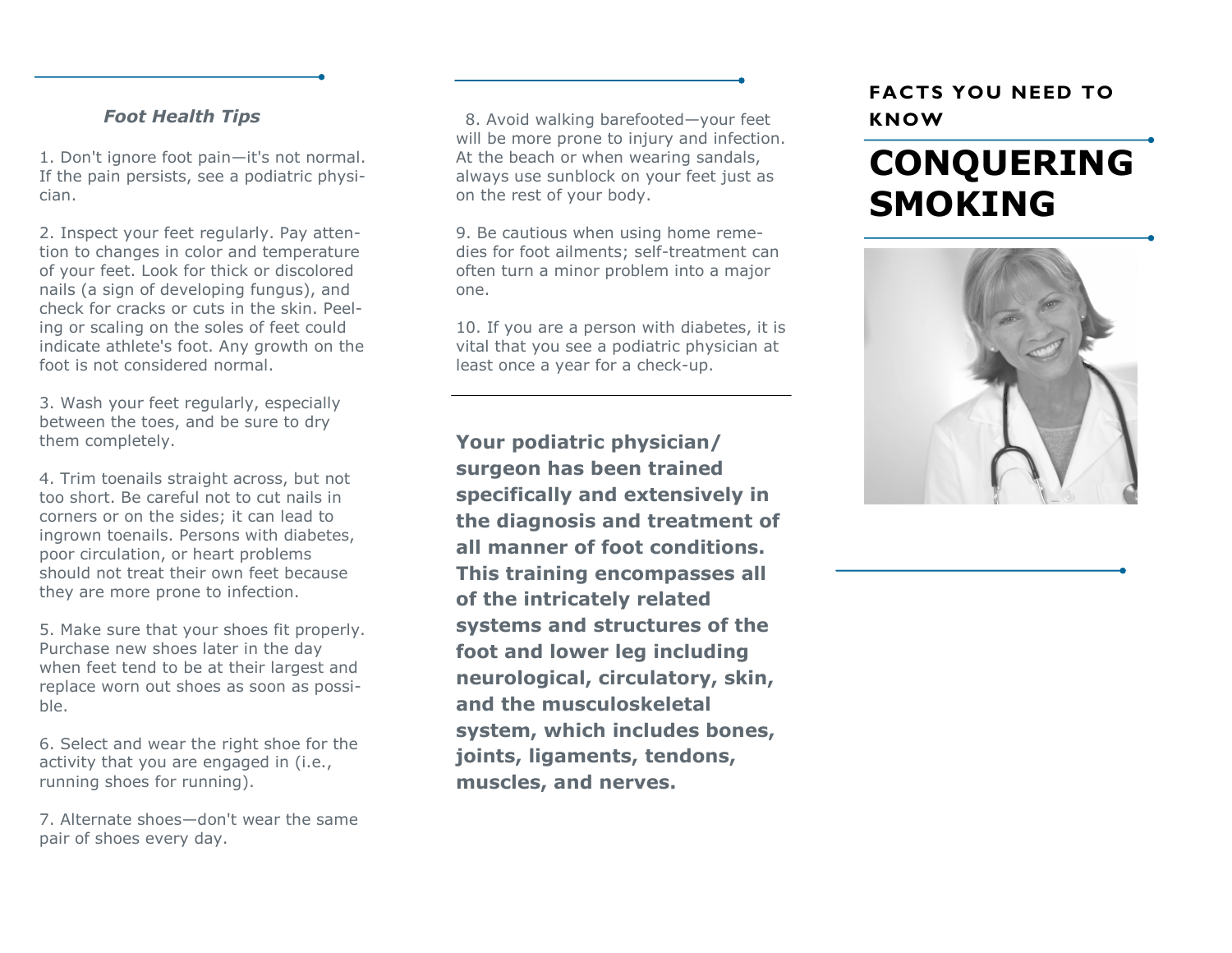#### *Foot Health Tips*

1. Don't ignore foot pain—it's not normal. If the pain persists, see a podiatric physician.

2. Inspect your feet regularly. Pay attention to changes in color and temperature of your feet. Look for thick or discolored nails (a sign of developing fungus), and check for cracks or cuts in the skin. Peeling or scaling on the soles of feet could indicate athlete's foot. Any growth on the foot is not considered normal.

3. Wash your feet regularly, especially between the toes, and be sure to dry them completely.

4. Trim toenails straight across, but not too short. Be careful not to cut nails in corners or on the sides; it can lead to ingrown toenails. Persons with diabetes, poor circulation, or heart problems should not treat their own feet because they are more prone to infection.

5. Make sure that your shoes fit properly. Purchase new shoes later in the day when feet tend to be at their largest and replace worn out shoes as soon as possible.

6. Select and wear the right shoe for the activity that you are engaged in (i.e., running shoes for running).

7. Alternate shoes—don't wear the same pair of shoes every day.

8. Avoid walking barefooted—your feet will be more prone to injury and infection. At the beach or when wearing sandals, always use sunblock on your feet just as on the rest of your body.

9. Be cautious when using home remedies for foot ailments; self-treatment can often turn a minor problem into a major one.

10. If you are a person with diabetes, it is vital that you see a podiatric physician at least once a year for a check-up.

**Your podiatric physician/ surgeon has been trained specifically and extensively in the diagnosis and treatment of all manner of foot conditions. This training encompasses all of the intricately related systems and structures of the foot and lower leg including neurological, circulatory, skin, and the musculoskeletal system, which includes bones, joints, ligaments, tendons, muscles, and nerves.** 

### **FACTS YOU NEED TO KNOW**

# **CONQUERING SMOKING**